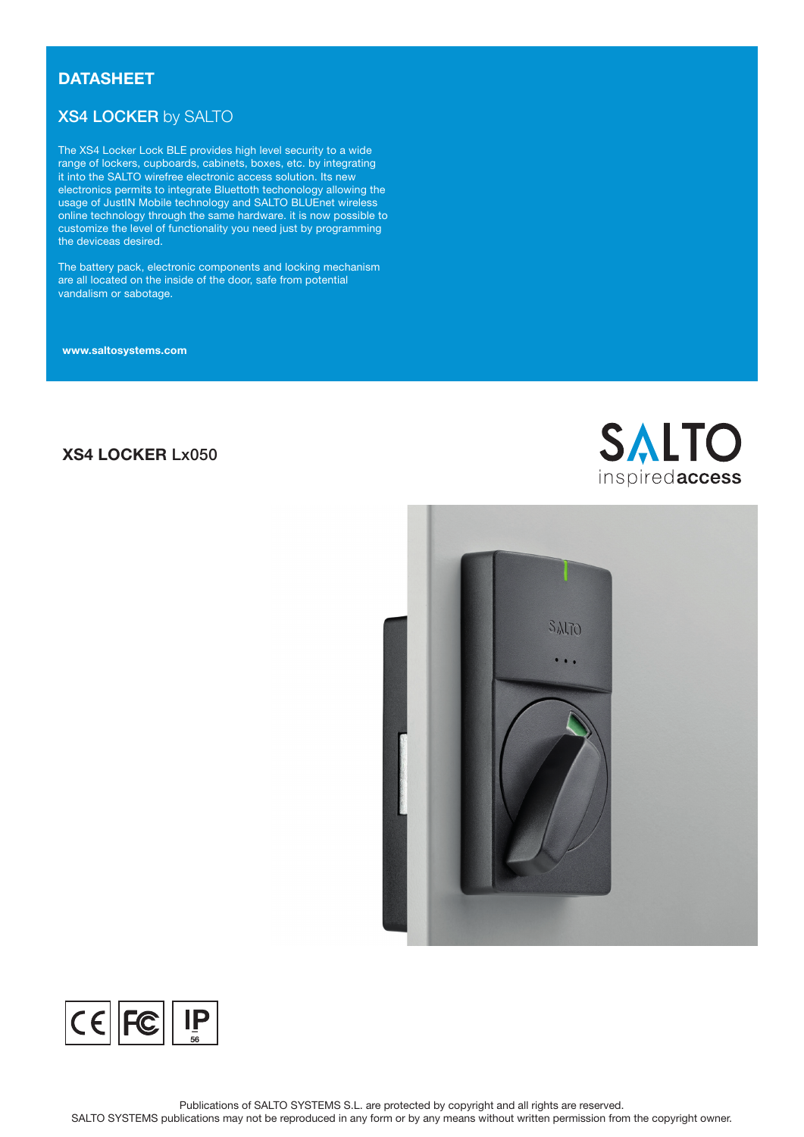## **DATASHEET**

# XS4 LOCKER by SALTO

The XS4 Locker Lock BLE provides high level security to a wide range of lockers, cupboards, cabinets, boxes, etc. by integrating it into the SALTO wirefree electronic access solution. Its new electronics permits to integrate Bluettoth techonology allowing the usage of JustIN Mobile technology and SALTO BLUEnet wireless online technology through the same hardware. it is now possible to customize the level of functionality you need just by programming the deviceas desired.

The battery pack, electronic components and locking mechanism are all located on the inside of the door, safe from potential vandalism or sabotage.

www.saltosystems.com

# XS4 LOCKER Lx050